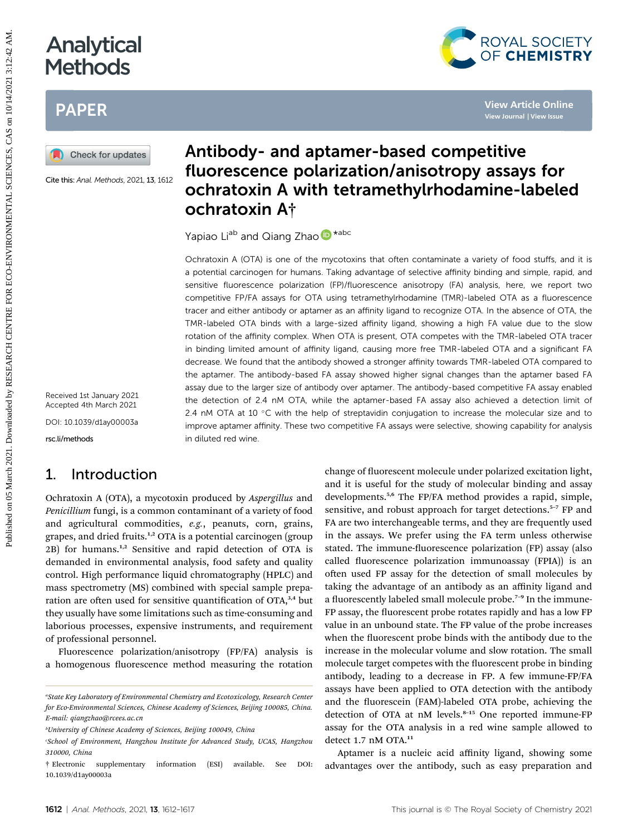# Analytical **Methods**

# PAPER



Cite this: Anal. Methods, 2021, 13, 1612

Received 1st January 2021 Accepted 4th March 2021

DOI: 10.1039/d1ay00003a

rsc.li/methods

# 1. Introduction

Ochratoxin A (OTA), a mycotoxin produced by Aspergillus and Penicillium fungi, is a common contaminant of a variety of food and agricultural commodities, e.g., peanuts, corn, grains, grapes, and dried fruits.<sup>1,2</sup> OTA is a potential carcinogen (group 2B) for humans.1,2 Sensitive and rapid detection of OTA is demanded in environmental analysis, food safety and quality control. High performance liquid chromatography (HPLC) and mass spectrometry (MS) combined with special sample preparation are often used for sensitive quantification of OTA,<sup>3,4</sup> but they usually have some limitations such as time-consuming and laborious processes, expensive instruments, and requirement of professional personnel.

Fluorescence polarization/anisotropy (FP/FA) analysis is a homogenous fluorescence method measuring the rotation

# Antibody- and aptamer-based competitive fluorescence polarization/anisotropy assays for ochratoxin A with tetramethylrhodamine-labeled ochratoxin A†

Yapiao Li<sup>ab</sup> and Qiang Zhao <sup>D\*abc</sup>

Ochratoxin A (OTA) is one of the mycotoxins that often contaminate a variety of food stuffs, and it is a potential carcinogen for humans. Taking advantage of selective affinity binding and simple, rapid, and sensitive fluorescence polarization (FP)/fluorescence anisotropy (FA) analysis, here, we report two competitive FP/FA assays for OTA using tetramethylrhodamine (TMR)-labeled OTA as a fluorescence tracer and either antibody or aptamer as an affinity ligand to recognize OTA. In the absence of OTA, the TMR-labeled OTA binds with a large-sized affinity ligand, showing a high FA value due to the slow rotation of the affinity complex. When OTA is present, OTA competes with the TMR-labeled OTA tracer in binding limited amount of affinity ligand, causing more free TMR-labeled OTA and a significant FA decrease. We found that the antibody showed a stronger affinity towards TMR-labeled OTA compared to the aptamer. The antibody-based FA assay showed higher signal changes than the aptamer based FA assay due to the larger size of antibody over aptamer. The antibody-based competitive FA assay enabled the detection of 2.4 nM OTA, while the aptamer-based FA assay also achieved a detection limit of 2.4 nM OTA at 10  $\degree$ C with the help of streptavidin conjugation to increase the molecular size and to improve aptamer affinity. These two competitive FA assays were selective, showing capability for analysis in diluted red wine. **Published on 05**<br> **PAPER**<br> **PAPER**<br> **PAPER**<br> **PAPER**<br> **PAPER**<br> **PAPER**<br> **PAPER**<br> **PAPER**<br> **PAPER**<br> **PAPER**<br> **PAPER**<br> **PAPER**<br> **PAPER**<br> **PAPER**<br> **PAPER**<br> **PAPER**<br> **PAPER**<br> **PAPER**<br> **PAPER**<br> **PAPER**<br> **PAPER**<br> **PAPER**<br> **PAPE** 

change of fluorescent molecule under polarized excitation light, and it is useful for the study of molecular binding and assay developments.5,6 The FP/FA method provides a rapid, simple, sensitive, and robust approach for target detections.<sup>5-7</sup> FP and FA are two interchangeable terms, and they are frequently used in the assays. We prefer using the FA term unless otherwise stated. The immune-fluorescence polarization (FP) assay (also called fluorescence polarization immunoassay (FPIA)) is an often used FP assay for the detection of small molecules by taking the advantage of an antibody as an affinity ligand and a fluorescently labeled small molecule probe.<sup>7-9</sup> In the immune-FP assay, the fluorescent probe rotates rapidly and has a low FP value in an unbound state. The FP value of the probe increases when the fluorescent probe binds with the antibody due to the increase in the molecular volume and slow rotation. The small molecule target competes with the fluorescent probe in binding antibody, leading to a decrease in FP. A few immune-FP/FA assays have been applied to OTA detection with the antibody and the fluorescein (FAM)-labeled OTA probe, achieving the detection of OTA at nM levels.<sup>8-15</sup> One reported immune-FP assay for the OTA analysis in a red wine sample allowed to detect 1.7 nM OTA.<sup>11</sup>

Aptamer is a nucleic acid affinity ligand, showing some advantages over the antibody, such as easy preparation and



a State Key Laboratory of Environmental Chemistry and Ecotoxicology, Research Center for Eco-Environmental Sciences, Chinese Academy of Sciences, Beijing 100085, China. E-mail: qiangzhao@rcees.ac.cn

b University of Chinese Academy of Sciences, Beijing 100049, China

<sup>&#</sup>x27;School of Environment, Hangzhou Institute for Advanced Study, UCAS, Hangzhou 310000, China

<sup>†</sup> Electronic supplementary information (ESI) available. See DOI: 10.1039/d1ay00003a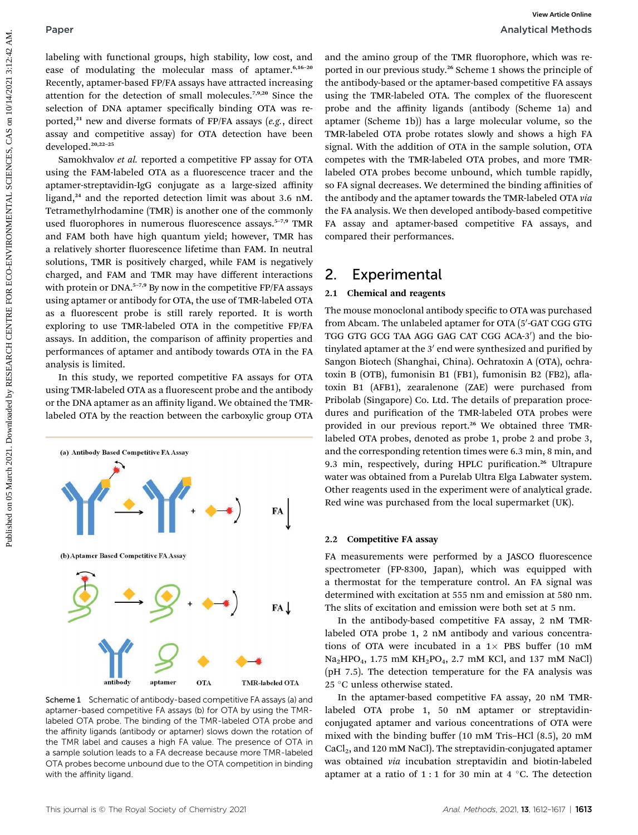Samokhvalov et al. reported a competitive FP assay for OTA using the FAM-labeled OTA as a fluorescence tracer and the aptamer-streptavidin-IgG conjugate as a large-sized affinity ligand,<sup>24</sup> and the reported detection limit was about 3.6 nM. Tetramethylrhodamine (TMR) is another one of the commonly used fluorophores in numerous fluorescence assays.<sup>5-7,9</sup> TMR and FAM both have high quantum yield; however, TMR has a relatively shorter fluorescence lifetime than FAM. In neutral solutions, TMR is positively charged, while FAM is negatively charged, and FAM and TMR may have different interactions with protein or DNA.<sup>5-7,9</sup> By now in the competitive FP/FA assays using aptamer or antibody for OTA, the use of TMR-labeled OTA as a fluorescent probe is still rarely reported. It is worth exploring to use TMR-labeled OTA in the competitive FP/FA assays. In addition, the comparison of affinity properties and performances of aptamer and antibody towards OTA in the FA analysis is limited. **Published central grows high subline is easy for an and lat suite grop of the TML denoted on National central central central central central central central central central central central central central central central** 

In this study, we reported competitive FA assays for OTA using TMR-labeled OTA as a fluorescent probe and the antibody or the DNA aptamer as an affinity ligand. We obtained the TMRlabeled OTA by the reaction between the carboxylic group OTA



Scheme 1 Schematic of antibody-based competitive FA assays (a) and aptamer-based competitive FA assays (b) for OTA by using the TMRlabeled OTA probe. The binding of the TMR-labeled OTA probe and the affinity ligands (antibody or aptamer) slows down the rotation of the TMR label and causes a high FA value. The presence of OTA in a sample solution leads to a FA decrease because more TMR-labeled OTA probes become unbound due to the OTA competition in binding with the affinity ligand.

and the amino group of the TMR fluorophore, which was reported in our previous study.<sup>26</sup> Scheme 1 shows the principle of the antibody-based or the aptamer-based competitive FA assays using the TMR-labeled OTA. The complex of the fluorescent probe and the affinity ligands (antibody (Scheme 1a) and aptamer (Scheme 1b)) has a large molecular volume, so the TMR-labeled OTA probe rotates slowly and shows a high FA signal. With the addition of OTA in the sample solution, OTA competes with the TMR-labeled OTA probes, and more TMRlabeled OTA probes become unbound, which tumble rapidly, so FA signal decreases. We determined the binding affinities of the antibody and the aptamer towards the TMR-labeled OTA via the FA analysis. We then developed antibody-based competitive FA assay and aptamer-based competitive FA assays, and compared their performances.

# 2. Experimental

#### 2.1 Chemical and reagents

The mouse monoclonal antibody specific to OTA was purchased from Abcam. The unlabeled aptamer for OTA  $\left(5'\text{-GAT CGG GTG}\right)$ TGG GTG GCG TAA AGG GAG CAT CGG ACA-3') and the biotinylated aptamer at the  $3'$  end were synthesized and purified by Sangon Biotech (Shanghai, China). Ochratoxin A (OTA), ochratoxin B (OTB), fumonisin B1 (FB1), fumonisin B2 (FB2), aflatoxin B1 (AFB1), zearalenone (ZAE) were purchased from Pribolab (Singapore) Co. Ltd. The details of preparation procedures and purification of the TMR-labeled OTA probes were provided in our previous report.<sup>26</sup> We obtained three TMRlabeled OTA probes, denoted as probe 1, probe 2 and probe 3, and the corresponding retention times were 6.3 min, 8 min, and 9.3 min, respectively, during HPLC purification.<sup>26</sup> Ultrapure water was obtained from a Purelab Ultra Elga Labwater system. Other reagents used in the experiment were of analytical grade. Red wine was purchased from the local supermarket (UK).

#### 2.2 Competitive FA assay

FA measurements were performed by a JASCO fluorescence spectrometer (FP-8300, Japan), which was equipped with a thermostat for the temperature control. An FA signal was determined with excitation at 555 nm and emission at 580 nm. The slits of excitation and emission were both set at 5 nm.

In the antibody-based competitive FA assay, 2 nM TMRlabeled OTA probe 1, 2 nM antibody and various concentrations of OTA were incubated in a  $1 \times$  PBS buffer (10 mM  $Na<sub>2</sub>HPO<sub>4</sub>$ , 1.75 mM KH<sub>2</sub>PO<sub>4</sub>, 2.7 mM KCl, and 137 mM NaCl) (pH 7.5). The detection temperature for the FA analysis was 25 °C unless otherwise stated.

In the aptamer-based competitive FA assay, 20 nM TMRlabeled OTA probe 1, 50 nM aptamer or streptavidinconjugated aptamer and various concentrations of OTA were mixed with the binding buffer (10 mM Tris–HCl (8.5), 20 mM  $CaCl<sub>2</sub>$ , and 120 mM NaCl). The streptavidin-conjugated aptamer was obtained via incubation streptavidin and biotin-labeled aptamer at a ratio of  $1:1$  for 30 min at 4 °C. The detection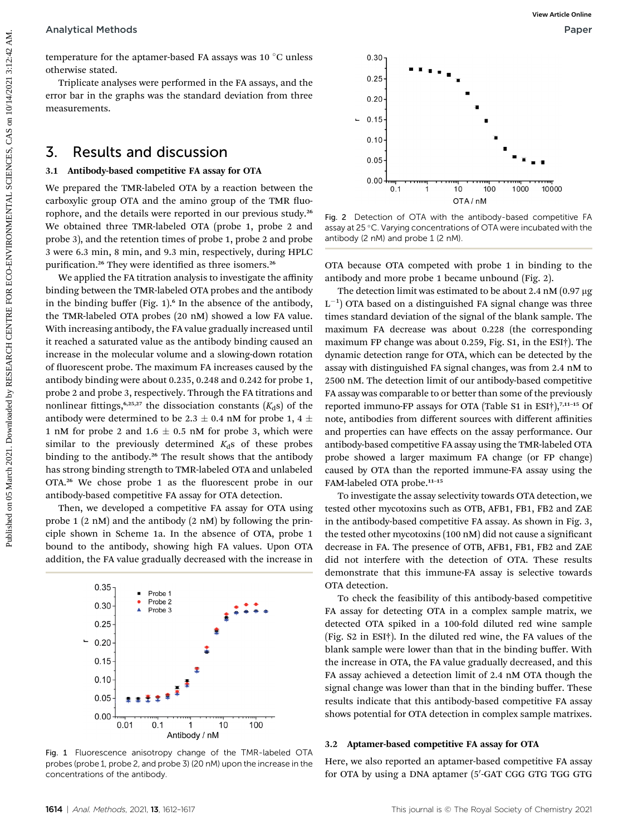#### Analytical Methods Paper

temperature for the aptamer-based FA assays was 10 $\degree$ C unless otherwise stated.

Triplicate analyses were performed in the FA assays, and the error bar in the graphs was the standard deviation from three measurements.

## 3. Results and discussion

#### 3.1 Antibody-based competitive FA assay for OTA

We prepared the TMR-labeled OTA by a reaction between the carboxylic group OTA and the amino group of the TMR fluorophore, and the details were reported in our previous study.<sup>26</sup> We obtained three TMR-labeled OTA (probe 1, probe 2 and probe 3), and the retention times of probe 1, probe 2 and probe 3 were 6.3 min, 8 min, and 9.3 min, respectively, during HPLC purification.<sup>26</sup> They were identified as three isomers.<sup>26</sup>

We applied the FA titration analysis to investigate the affinity binding between the TMR-labeled OTA probes and the antibody in the binding buffer (Fig. 1).<sup>6</sup> In the absence of the antibody, the TMR-labeled OTA probes (20 nM) showed a low FA value. With increasing antibody, the FA value gradually increased until it reached a saturated value as the antibody binding caused an increase in the molecular volume and a slowing-down rotation of fluorescent probe. The maximum FA increases caused by the antibody binding were about 0.235, 0.248 and 0.242 for probe 1, probe 2 and probe 3, respectively. Through the FA titrations and nonlinear fittings,<sup>6,25,27</sup> the dissociation constants  $(K_d s)$  of the antibody were determined to be 2.3  $\pm$  0.4 nM for probe 1, 4  $\pm$ 1 nM for probe 2 and 1.6  $\pm$  0.5 nM for probe 3, which were similar to the previously determined  $K_d$ s of these probes binding to the antibody.<sup>26</sup> The result shows that the antibody has strong binding strength to TMR-labeled OTA and unlabeled OTA.<sup>26</sup> We chose probe 1 as the fluorescent probe in our antibody-based competitive FA assay for OTA detection. Analytical Methods<br>
Convenience for the spinner-based 7A assays was 10 °C unless<br>
Convenience on 05 March 2021.<br>
This many assume that the spinner of the spinner of the same spinner of the same spinner of the same spinner

Then, we developed a competitive FA assay for OTA using probe 1 (2 nM) and the antibody (2 nM) by following the principle shown in Scheme 1a. In the absence of OTA, probe 1 bound to the antibody, showing high FA values. Upon OTA addition, the FA value gradually decreased with the increase in



Fig. 1 Fluorescence anisotropy change of the TMR-labeled OTA probes (probe 1, probe 2, and probe 3) (20 nM) upon the increase in the concentrations of the antibody.



Fig. 2 Detection of OTA with the antibody-based competitive FA assay at 25 °C. Varying concentrations of OTA were incubated with the antibody (2 nM) and probe 1 (2 nM).

OTA because OTA competed with probe 1 in binding to the antibody and more probe 1 became unbound (Fig. 2).

The detection limit was estimated to be about 2.4 nM  $(0.97 \mu g)$  $L^{-1}$ ) OTA based on a distinguished FA signal change was three times standard deviation of the signal of the blank sample. The maximum FA decrease was about 0.228 (the corresponding maximum FP change was about 0.259, Fig. S1, in the ESI†). The dynamic detection range for OTA, which can be detected by the assay with distinguished FA signal changes, was from 2.4 nM to 2500 nM. The detection limit of our antibody-based competitive FA assay was comparable to or better than some of the previously reported immuno-FP assays for OTA (Table S1 in ESI $\dagger$ ),<sup>7,11-15</sup> Of note, antibodies from different sources with different affinities and properties can have effects on the assay performance. Our antibody-based competitive FA assay using the TMR-labeled OTA probe showed a larger maximum FA change (or FP change) caused by OTA than the reported immune-FA assay using the FAM-labeled OTA probe.<sup>11</sup>–<sup>15</sup>

To investigate the assay selectivity towards OTA detection, we tested other mycotoxins such as OTB, AFB1, FB1, FB2 and ZAE in the antibody-based competitive FA assay. As shown in Fig. 3, the tested other mycotoxins (100 nM) did not cause a signicant decrease in FA. The presence of OTB, AFB1, FB1, FB2 and ZAE did not interfere with the detection of OTA. These results demonstrate that this immune-FA assay is selective towards OTA detection.

To check the feasibility of this antibody-based competitive FA assay for detecting OTA in a complex sample matrix, we detected OTA spiked in a 100-fold diluted red wine sample (Fig. S2 in ESI†). In the diluted red wine, the FA values of the blank sample were lower than that in the binding buffer. With the increase in OTA, the FA value gradually decreased, and this FA assay achieved a detection limit of 2.4 nM OTA though the signal change was lower than that in the binding buffer. These results indicate that this antibody-based competitive FA assay shows potential for OTA detection in complex sample matrixes.

#### 3.2 Aptamer-based competitive FA assay for OTA

Here, we also reported an aptamer-based competitive FA assay for OTA by using a DNA aptamer (5'-GAT CGG GTG TGG GTG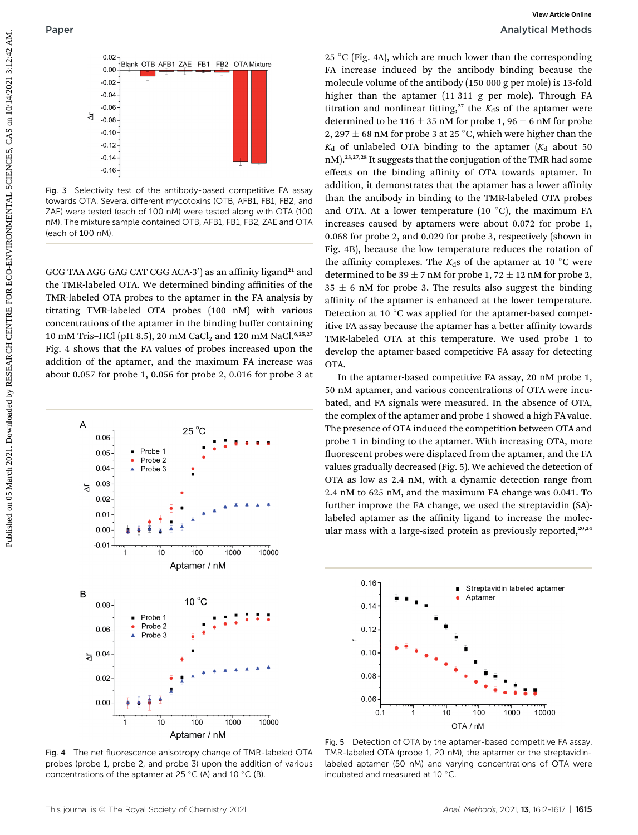

Fig. 3 Selectivity test of the antibody-based competitive FA assay towards OTA. Several different mycotoxins (OTB, AFB1, FB1, FB2, and ZAE) were tested (each of 100 nM) were tested along with OTA (100 nM). The mixture sample contained OTB, AFB1, FB1, FB2, ZAE and OTA (each of 100 nM).

GCG TAA AGG GAG CAT CGG ACA-3') as an affinity ligand<sup>21</sup> and the TMR-labeled OTA. We determined binding affinities of the TMR-labeled OTA probes to the aptamer in the FA analysis by titrating TMR-labeled OTA probes (100 nM) with various concentrations of the aptamer in the binding buffer containing 10 mM Tris-HCl (pH 8.5), 20 mM CaCl<sub>2</sub> and 120 mM NaCl.<sup>6,25,27</sup> Fig. 4 shows that the FA values of probes increased upon the addition of the aptamer, and the maximum FA increase was about 0.057 for probe 1, 0.056 for probe 2, 0.016 for probe 3 at



Fig. 4 The net fluorescence anisotropy change of TMR-labeled OTA probes (probe 1, probe 2, and probe 3) upon the addition of various concentrations of the aptamer at 25 °C (A) and 10 °C (B).

25 °C (Fig. 4A), which are much lower than the corresponding FA increase induced by the antibody binding because the molecule volume of the antibody (150 000 g per mole) is 13-fold higher than the aptamer (11 311 g per mole). Through FA titration and nonlinear fitting,<sup>27</sup> the  $K_d$ s of the aptamer were determined to be 116  $\pm$  35 nM for probe 1, 96  $\pm$  6 nM for probe 2, 297  $\pm$  68 nM for probe 3 at 25 °C, which were higher than the  $K_d$  of unlabeled OTA binding to the aptamer  $(K_d$  about 50 nM).23,27,28 It suggests that the conjugation of the TMR had some effects on the binding affinity of OTA towards aptamer. In addition, it demonstrates that the aptamer has a lower affinity than the antibody in binding to the TMR-labeled OTA probes and OTA. At a lower temperature (10 $\degree$ C), the maximum FA increases caused by aptamers were about 0.072 for probe 1, 0.068 for probe 2, and 0.029 for probe 3, respectively (shown in Fig. 4B), because the low temperature reduces the rotation of the affinity complexes. The  $K_d$ s of the aptamer at 10 °C were determined to be 39  $\pm$  7 nM for probe 1, 72  $\pm$  12 nM for probe 2,  $35 \pm 6$  nM for probe 3. The results also suggest the binding affinity of the aptamer is enhanced at the lower temperature. Detection at 10 $\degree$ C was applied for the aptamer-based competitive FA assay because the aptamer has a better affinity towards TMR-labeled OTA at this temperature. We used probe 1 to develop the aptamer-based competitive FA assay for detecting OTA. **Published on a matrix on 05 March 2021. A** matrix on nucle by RESEARCH CENTRE AND INDUCES are the consequenties of the expectation of the expectation of the expectation of the expectation of the expectation of the expe

In the aptamer-based competitive FA assay, 20 nM probe 1, 50 nM aptamer, and various concentrations of OTA were incubated, and FA signals were measured. In the absence of OTA, the complex of the aptamer and probe 1 showed a high FA value. The presence of OTA induced the competition between OTA and probe 1 in binding to the aptamer. With increasing OTA, more fluorescent probes were displaced from the aptamer, and the FA values gradually decreased (Fig. 5). We achieved the detection of OTA as low as 2.4 nM, with a dynamic detection range from 2.4 nM to 625 nM, and the maximum FA change was 0.041. To further improve the FA change, we used the streptavidin (SA) labeled aptamer as the affinity ligand to increase the molecular mass with a large-sized protein as previously reported,<sup>20,24</sup>



Fig. 5 Detection of OTA by the aptamer-based competitive FA assay. TMR-labeled OTA (probe 1, 20 nM), the aptamer or the streptavidinlabeled aptamer (50 nM) and varying concentrations of OTA were incubated and measured at 10 $\degree$ C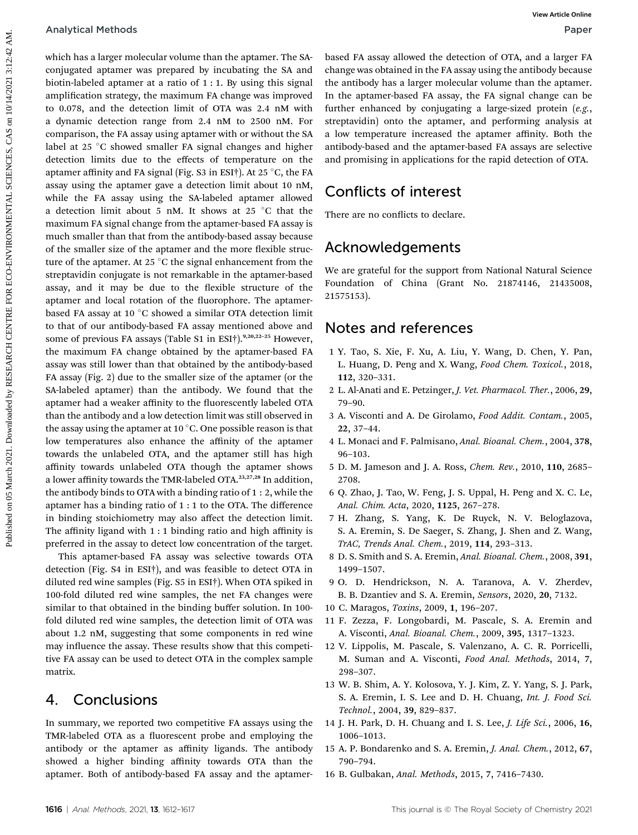#### Analytical Methods Paper

which has a larger molecular volume than the aptamer. The SAconjugated aptamer was prepared by incubating the SA and biotin-labeled aptamer at a ratio of 1 : 1. By using this signal amplification strategy, the maximum FA change was improved to 0.078, and the detection limit of OTA was 2.4 nM with a dynamic detection range from 2.4 nM to 2500 nM. For comparison, the FA assay using aptamer with or without the SA label at 25 °C showed smaller FA signal changes and higher detection limits due to the effects of temperature on the aptamer affinity and FA signal (Fig. S3 in ESI†). At 25  $\degree$ C, the FA assay using the aptamer gave a detection limit about 10 nM, while the FA assay using the SA-labeled aptamer allowed a detection limit about 5 nM. It shows at 25  $\degree$ C that the maximum FA signal change from the aptamer-based FA assay is much smaller than that from the antibody-based assay because of the smaller size of the aptamer and the more flexible structure of the aptamer. At 25  $\degree$ C the signal enhancement from the streptavidin conjugate is not remarkable in the aptamer-based assay, and it may be due to the flexible structure of the aptamer and local rotation of the fluorophore. The aptamerbased FA assay at 10 $\degree$ C showed a similar OTA detection limit to that of our antibody-based FA assay mentioned above and some of previous FA assays (Table S1 in ESI†).<sup>9,20,22-25</sup> However, the maximum FA change obtained by the aptamer-based FA assay was still lower than that obtained by the antibody-based FA assay (Fig. 2) due to the smaller size of the aptamer (or the SA-labeled aptamer) than the antibody. We found that the aptamer had a weaker affinity to the fluorescently labeled OTA than the antibody and a low detection limit was still observed in the assay using the aptamer at 10  $\mathrm{^{\circ}C}$ . One possible reason is that low temperatures also enhance the affinity of the aptamer towards the unlabeled OTA, and the aptamer still has high affinity towards unlabeled OTA though the aptamer shows a lower affinity towards the TMR-labeled OTA.23,27,28 In addition, the antibody binds to OTA with a binding ratio of 1 : 2, while the aptamer has a binding ratio of 1 : 1 to the OTA. The difference in binding stoichiometry may also affect the detection limit. The affinity ligand with 1 : 1 binding ratio and high affinity is preferred in the assay to detect low concentration of the target. Analytical Methods<br>
consigners mobilished on 2021. The sake in the spinners of the sake in the spinners in the sole and the system of the system of the system of the system of the system of the system of the system of the

This aptamer-based FA assay was selective towards OTA detection (Fig. S4 in ESI†), and was feasible to detect OTA in diluted red wine samples (Fig. S5 in ESI†). When OTA spiked in 100-fold diluted red wine samples, the net FA changes were similar to that obtained in the binding buffer solution. In 100 fold diluted red wine samples, the detection limit of OTA was about 1.2 nM, suggesting that some components in red wine may influence the assay. These results show that this competitive FA assay can be used to detect OTA in the complex sample matrix.

## 4. Conclusions

In summary, we reported two competitive FA assays using the TMR-labeled OTA as a fluorescent probe and employing the antibody or the aptamer as affinity ligands. The antibody showed a higher binding affinity towards OTA than the aptamer. Both of antibody-based FA assay and the aptamerbased FA assay allowed the detection of OTA, and a larger FA change was obtained in the FA assay using the antibody because the antibody has a larger molecular volume than the aptamer. In the aptamer-based FA assay, the FA signal change can be further enhanced by conjugating a large-sized protein  $(e.g.,$ streptavidin) onto the aptamer, and performing analysis at a low temperature increased the aptamer affinity. Both the antibody-based and the aptamer-based FA assays are selective and promising in applications for the rapid detection of OTA.

# Conflicts of interest

There are no conflicts to declare.

## Acknowledgements

We are grateful for the support from National Natural Science Foundation of China (Grant No. 21874146, 21435008, 21575153).

## Notes and references

- 1 Y. Tao, S. Xie, F. Xu, A. Liu, Y. Wang, D. Chen, Y. Pan, L. Huang, D. Peng and X. Wang, Food Chem. Toxicol., 2018, 112, 320–331.
- 2 L. Al-Anati and E. Petzinger, J. Vet. Pharmacol. Ther., 2006, 29, 79–90.
- 3 A. Visconti and A. De Girolamo, Food Addit. Contam., 2005, 22, 37–44.
- 4 L. Monaci and F. Palmisano, Anal. Bioanal. Chem., 2004, 378, 96–103.
- 5 D. M. Jameson and J. A. Ross, Chem. Rev., 2010, 110, 2685– 2708.
- 6 Q. Zhao, J. Tao, W. Feng, J. S. Uppal, H. Peng and X. C. Le, Anal. Chim. Acta, 2020, 1125, 267–278.
- 7 H. Zhang, S. Yang, K. De Ruyck, N. V. Beloglazova, S. A. Eremin, S. De Saeger, S. Zhang, J. Shen and Z. Wang, TrAC, Trends Anal. Chem., 2019, 114, 293–313.
- 8 D. S. Smith and S. A. Eremin, Anal. Bioanal. Chem., 2008, 391, 1499–1507.
- 9 O. D. Hendrickson, N. A. Taranova, A. V. Zherdev, B. B. Dzantiev and S. A. Eremin, Sensors, 2020, 20, 7132.
- 10 C. Maragos, Toxins, 2009, 1, 196–207.
- 11 F. Zezza, F. Longobardi, M. Pascale, S. A. Eremin and A. Visconti, Anal. Bioanal. Chem., 2009, 395, 1317–1323.
- 12 V. Lippolis, M. Pascale, S. Valenzano, A. C. R. Porricelli, M. Suman and A. Visconti, Food Anal. Methods, 2014, 7, 298–307.
- 13 W. B. Shim, A. Y. Kolosova, Y. J. Kim, Z. Y. Yang, S. J. Park, S. A. Eremin, I. S. Lee and D. H. Chuang, Int. J. Food Sci. Technol., 2004, 39, 829–837.
- 14 J. H. Park, D. H. Chuang and I. S. Lee, J. Life Sci., 2006, 16, 1006–1013.
- 15 A. P. Bondarenko and S. A. Eremin, J. Anal. Chem., 2012, 67, 790–794.
- 16 B. Gulbakan, Anal. Methods, 2015, 7, 7416–7430.